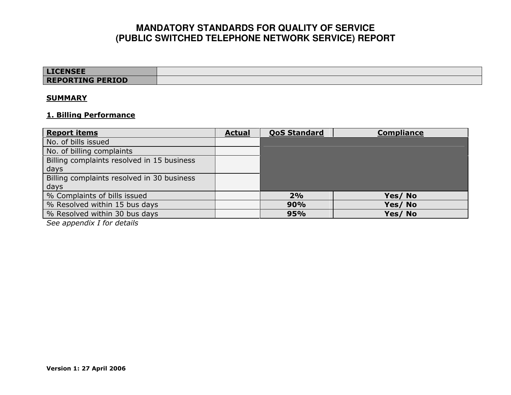| <b>LICENSEE</b>         |  |
|-------------------------|--|
| <b>REPORTING PERIOD</b> |  |

#### **SUMMARY**

#### 1. Billing Performance

| <b>Report items</b>                        | <b>Actual</b> | <b>QoS Standard</b> | <b>Compliance</b> |
|--------------------------------------------|---------------|---------------------|-------------------|
| No. of bills issued                        |               |                     |                   |
| No. of billing complaints                  |               |                     |                   |
| Billing complaints resolved in 15 business |               |                     |                   |
| days                                       |               |                     |                   |
| Billing complaints resolved in 30 business |               |                     |                   |
| days                                       |               |                     |                   |
| % Complaints of bills issued               |               | 2%                  | Yes/No            |
| % Resolved within 15 bus days              |               | 90%                 | Yes/No            |
| % Resolved within 30 bus days              |               | 95%                 | Yes/No            |
| See appendix I for details                 |               |                     |                   |

See appendix I for details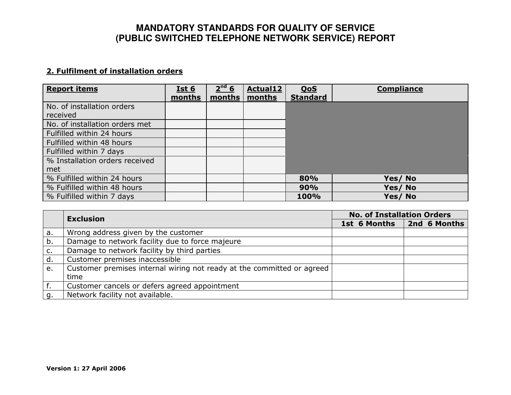### 2. Fulfilment of installation orders

| <b>Report items</b>            | Ist6<br>months | 2 <sup>nd</sup> 6<br>months | <b>Actual12</b><br>months | <u>QoS</u><br><b>Standard</b> | <b>Compliance</b> |
|--------------------------------|----------------|-----------------------------|---------------------------|-------------------------------|-------------------|
| No. of installation orders     |                |                             |                           |                               |                   |
| received                       |                |                             |                           |                               |                   |
| No. of installation orders met |                |                             |                           |                               |                   |
| Fulfilled within 24 hours      |                |                             |                           |                               |                   |
| Fulfilled within 48 hours      |                |                             |                           |                               |                   |
| Fulfilled within 7 days        |                |                             |                           |                               |                   |
| % Installation orders received |                |                             |                           |                               |                   |
| met                            |                |                             |                           |                               |                   |
| % Fulfilled within 24 hours    |                |                             |                           | 80%                           | Yes/No            |
| % Fulfilled within 48 hours    |                |                             |                           | 90%                           | Yes/No            |
| % Fulfilled within 7 days      |                |                             |                           | 100%                          | Yes/No            |
|                                |                |                             |                           |                               |                   |

|    | <b>Exclusion</b>                                                       | <b>No. of Installation Orders</b> |              |  |
|----|------------------------------------------------------------------------|-----------------------------------|--------------|--|
|    |                                                                        | 1st 6 Months                      | 2nd 6 Months |  |
| а. | Wrong address given by the customer                                    |                                   |              |  |
| b. | Damage to network facility due to force majeure                        |                                   |              |  |
| с. | Damage to network facility by third parties                            |                                   |              |  |
| d. | Customer premises inaccessible                                         |                                   |              |  |
| e. | Customer premises internal wiring not ready at the committed or agreed |                                   |              |  |
|    | time                                                                   |                                   |              |  |
|    | Customer cancels or defers agreed appointment                          |                                   |              |  |
| q  | Network facility not available.                                        |                                   |              |  |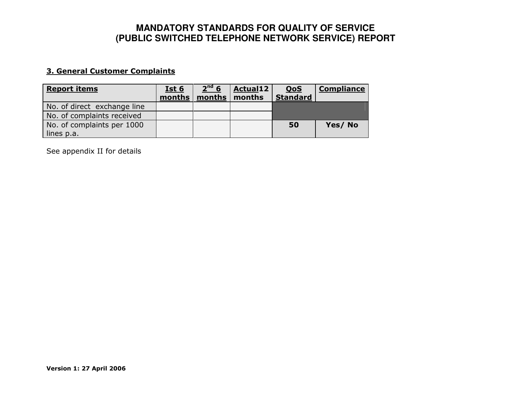### 3. General Customer Complaints

| <b>Report items</b>         | Ist 6<br>months | 2 <sup>nd</sup> 6<br>months | <b>Actual12</b><br>months | <b>QoS</b><br><b>Standard</b> | <b>Compliance</b> |
|-----------------------------|-----------------|-----------------------------|---------------------------|-------------------------------|-------------------|
| No. of direct exchange line |                 |                             |                           |                               |                   |
| No. of complaints received  |                 |                             |                           |                               |                   |
| No. of complaints per 1000  |                 |                             |                           | 50                            | Yes/No            |
| lines p.a.                  |                 |                             |                           |                               |                   |

See appendix II for details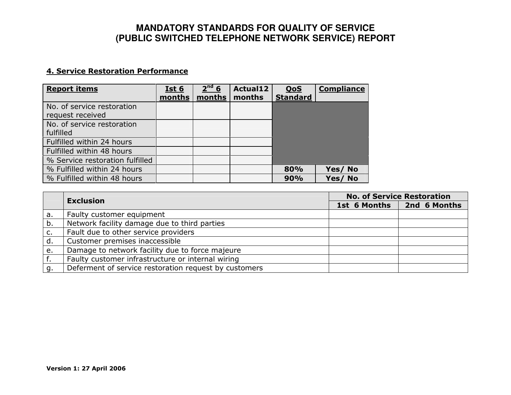### 4. Service Restoration Performance

| months | 2 <sup>nd</sup> 6<br>months | <b>Actual12</b><br>months | <u>QoS</u><br><b>Standard</b> | <b>Compliance</b> |
|--------|-----------------------------|---------------------------|-------------------------------|-------------------|
|        |                             |                           |                               |                   |
|        |                             |                           |                               |                   |
|        |                             |                           |                               |                   |
|        |                             |                           |                               |                   |
|        |                             |                           |                               |                   |
|        |                             |                           | 80%                           | Yes/No            |
|        |                             |                           | 90%                           | Yes/No            |
|        |                             |                           |                               |                   |

|    | <b>Exclusion</b>                                      | <b>No. of Service Restoration</b> |                             |  |
|----|-------------------------------------------------------|-----------------------------------|-----------------------------|--|
|    |                                                       |                                   | 1st 6 Months   2nd 6 Months |  |
| a. | Faulty customer equipment                             |                                   |                             |  |
| b. | Network facility damage due to third parties          |                                   |                             |  |
| c. | Fault due to other service providers                  |                                   |                             |  |
| d. | Customer premises inaccessible                        |                                   |                             |  |
| e. | Damage to network facility due to force majeure       |                                   |                             |  |
|    | Faulty customer infrastructure or internal wiring     |                                   |                             |  |
| g. | Deferment of service restoration request by customers |                                   |                             |  |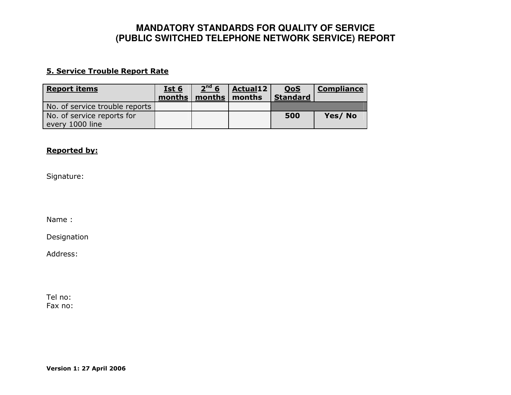### 5. Service Trouble Report Rate

| <b>Report items</b>                           | <u>Ist 6</u><br>months | 2 <sup>nd</sup> 6<br>months | <b>Actual12</b><br>months | <u>QoS</u><br><b>Standard</b> | <b>Compliance</b> |
|-----------------------------------------------|------------------------|-----------------------------|---------------------------|-------------------------------|-------------------|
| No. of service trouble reports                |                        |                             |                           |                               |                   |
| No. of service reports for<br>every 1000 line |                        |                             |                           | 500                           | Yes/No            |

#### Reported by:

Signature:

Name :

Designation

Address:

Tel no: Fax no: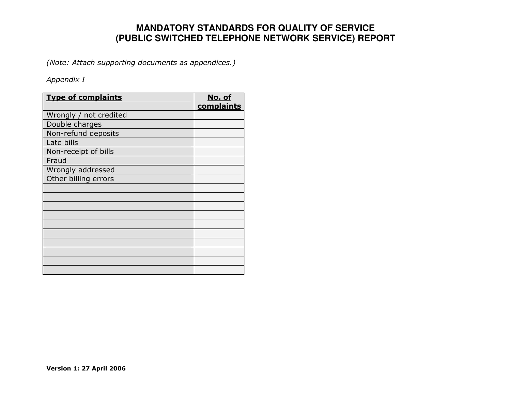(Note: Attach supporting documents as appendices.)

### Appendix I

| <b>Type of complaints</b> | <u>No. of</u><br>complaints |
|---------------------------|-----------------------------|
| Wrongly / not credited    |                             |
| Double charges            |                             |
| Non-refund deposits       |                             |
| Late bills                |                             |
| Non-receipt of bills      |                             |
| Fraud                     |                             |
| Wrongly addressed         |                             |
| Other billing errors      |                             |
|                           |                             |
|                           |                             |
|                           |                             |
|                           |                             |
|                           |                             |
|                           |                             |
|                           |                             |
|                           |                             |
|                           |                             |
|                           |                             |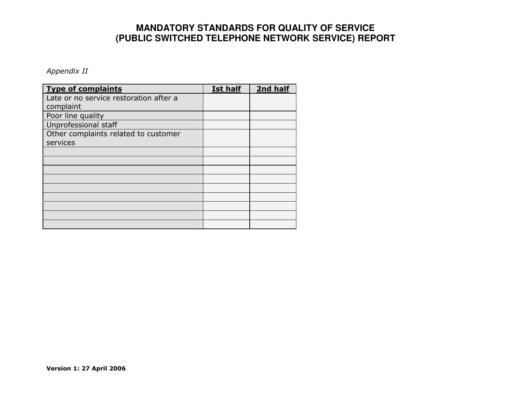Appendix II

| <b>Type of complaints</b>              | <b>Ist half</b> | 2nd half |
|----------------------------------------|-----------------|----------|
| Late or no service restoration after a |                 |          |
| complaint                              |                 |          |
| Poor line quality                      |                 |          |
| Unprofessional staff                   |                 |          |
| Other complaints related to customer   |                 |          |
| services                               |                 |          |
|                                        |                 |          |
|                                        |                 |          |
|                                        |                 |          |
|                                        |                 |          |
|                                        |                 |          |
|                                        |                 |          |
|                                        |                 |          |
|                                        |                 |          |
|                                        |                 |          |